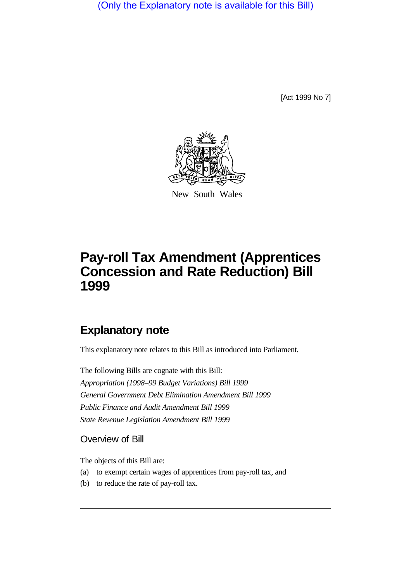(Only the Explanatory note is available for this Bill)

[Act 1999 No 7]



New South Wales

## **Pay-roll Tax Amendment (Apprentices Concession and Rate Reduction) Bill 1999**

## **Explanatory note**

This explanatory note relates to this Bill as introduced into Parliament.

The following Bills are cognate with this Bill: *Appropriation (1998–99 Budget Variations) Bill 1999 General Government Debt Elimination Amendment Bill 1999 Public Finance and Audit Amendment Bill 1999 State Revenue Legislation Amendment Bill 1999*

Overview of Bill

The objects of this Bill are:

- (a) to exempt certain wages of apprentices from pay-roll tax, and
- (b) to reduce the rate of pay-roll tax.